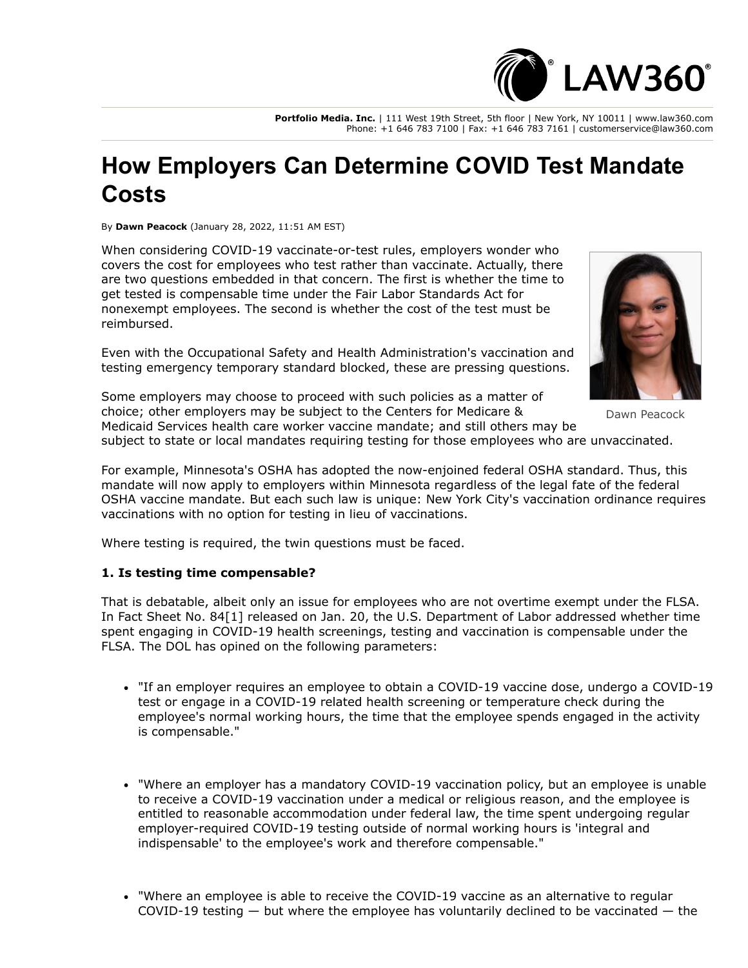

**Portfolio Media. Inc.** | 111 West 19th Street, 5th floor | New York, NY 10011 | www.law360.com Phone: +1 646 783 7100 | Fax: +1 646 783 7161 | customerservice@law360.com

## **How Employers Can Determine COVID Test Mandate Costs**

By **Dawn Peacock** (January 28, 2022, 11:51 AM EST)

When considering COVID-19 vaccinate-or-test rules, employers wonder who covers the cost for employees who test rather than vaccinate. Actually, there are two questions embedded in that concern. The first is whether the time to get tested is compensable time under the Fair Labor Standards Act for nonexempt employees. The second is whether the cost of the test must be reimbursed.

Even with the [Occupational Safety and Health Administration](https://www.law360.com/agencies/occupational-safety-and-health-administration)'s vaccination and testing emergency temporary standard blocked, these are pressing questions.



Dawn Peacock

[choice; other employers may be subject to the Centers for Medicare &](https://www.law360.com/agencies/centers-for-medicare-medicaid-services) Medicaid Services health care worker vaccine mandate; and still others may be

subject to state or local mandates requiring testing for those employees who are unvaccinated.

For example, Minnesota's OSHA has adopted the now-enjoined federal OSHA standard. Thus, this mandate will now apply to employers within Minnesota regardless of the legal fate of the federal OSHA vaccine mandate. But each such law is unique: New York City's vaccination ordinance requires vaccinations with no option for testing in lieu of vaccinations.

Where testing is required, the twin questions must be faced.

## **1. Is testing time compensable?**

That is debatable, albeit only an issue for employees who are not overtime exempt under the FLSA. In Fact Sheet No. 84[1] released on Jan. 20, the [U.S. Department of Labor](https://www.law360.com/agencies/u-s-department-of-labor) addressed whether time spent engaging in COVID-19 health screenings, testing and vaccination is compensable under the FLSA. The DOL has opined on the following parameters:

- "If an employer requires an employee to obtain a COVID-19 vaccine dose, undergo a COVID-19 test or engage in a COVID-19 related health screening or temperature check during the employee's normal working hours, the time that the employee spends engaged in the activity is compensable."
- "Where an employer has a mandatory COVID-19 vaccination policy, but an employee is unable to receive a COVID-19 vaccination under a medical or religious reason, and the employee is entitled to reasonable accommodation under federal law, the time spent undergoing regular employer-required COVID-19 testing outside of normal working hours is 'integral and indispensable' to the employee's work and therefore compensable."
- "Where an employee is able to receive the COVID-19 vaccine as an alternative to regular COVID-19 testing  $-$  but where the employee has voluntarily declined to be vaccinated  $-$  the

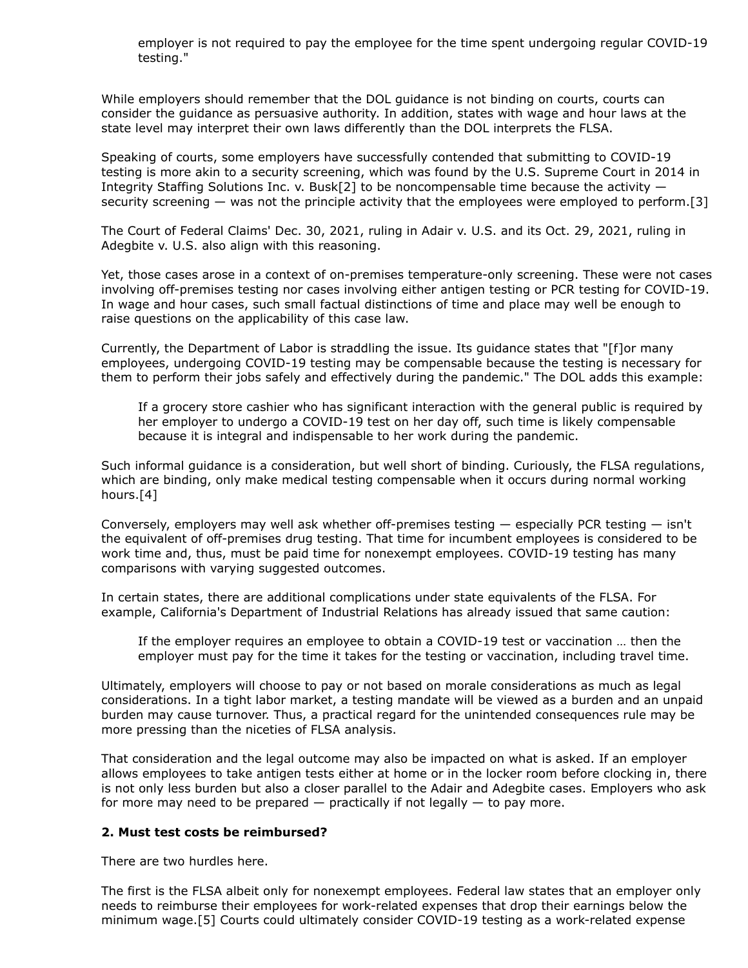employer is not required to pay the employee for the time spent undergoing regular COVID-19 testing."

While employers should remember that the DOL guidance is not binding on courts, courts can consider the guidance as persuasive authority. In addition, states with wage and hour laws at the state level may interpret their own laws differently than the DOL interprets the FLSA.

Speaking of courts, some employers have successfully contended that submitting to COVID-19 testing is more akin to a security screening, which was found by the [U.S. Supreme Court](https://www.law360.com/agencies/u-s-supreme-court) in 2014 in Integrity Staffing Solutions Inc. v. Busk[2] to be noncompensable time because the activity  $$ security screening — was not the principle activity that the employees were employed to perform.[3]

The Court of Federal Claims' Dec. 30, 2021, ruling in Adair v. U.S. and its Oct. 29, 2021, ruling in Adegbite v. U.S. also align with this reasoning.

Yet, those cases arose in a context of on-premises temperature-only screening. These were not cases involving off-premises testing nor cases involving either antigen testing or PCR testing for COVID-19. In wage and hour cases, such small factual distinctions of time and place may well be enough to raise questions on the applicability of this case law.

Currently, the Department of Labor is straddling the issue. Its guidance states that "[f]or many employees, undergoing COVID-19 testing may be compensable because the testing is necessary for them to perform their jobs safely and effectively during the pandemic." The DOL adds this example:

If a grocery store cashier who has significant interaction with the general public is required by her employer to undergo a COVID-19 test on her day off, such time is likely compensable because it is integral and indispensable to her work during the pandemic.

Such informal guidance is a consideration, but well short of binding. Curiously, the FLSA regulations, which are binding, only make medical testing compensable when it occurs during normal working hours.[4]

Conversely, employers may well ask whether off-premises testing — especially PCR testing — isn't the equivalent of off-premises drug testing. That time for incumbent employees is considered to be work time and, thus, must be paid time for nonexempt employees. COVID-19 testing has many comparisons with varying suggested outcomes.

In certain states, there are additional complications under state equivalents of the FLSA. For example, California's Department of Industrial Relations has already issued that same caution:

If the employer requires an employee to obtain a COVID-19 test or vaccination … then the employer must pay for the time it takes for the testing or vaccination, including travel time.

Ultimately, employers will choose to pay or not based on morale considerations as much as legal considerations. In a tight labor market, a testing mandate will be viewed as a burden and an unpaid burden may cause turnover. Thus, a practical regard for the unintended consequences rule may be more pressing than the niceties of FLSA analysis.

That consideration and the legal outcome may also be impacted on what is asked. If an employer allows employees to take antigen tests either at home or in the locker room before clocking in, there is not only less burden but also a closer parallel to the Adair and Adegbite cases. Employers who ask for more may need to be prepared  $-$  practically if not legally  $-$  to pay more.

## **2. Must test costs be reimbursed?**

There are two hurdles here.

The first is the FLSA albeit only for nonexempt employees. Federal law states that an employer only needs to reimburse their employees for work-related expenses that drop their earnings below the minimum wage.[5] Courts could ultimately consider COVID-19 testing as a work-related expense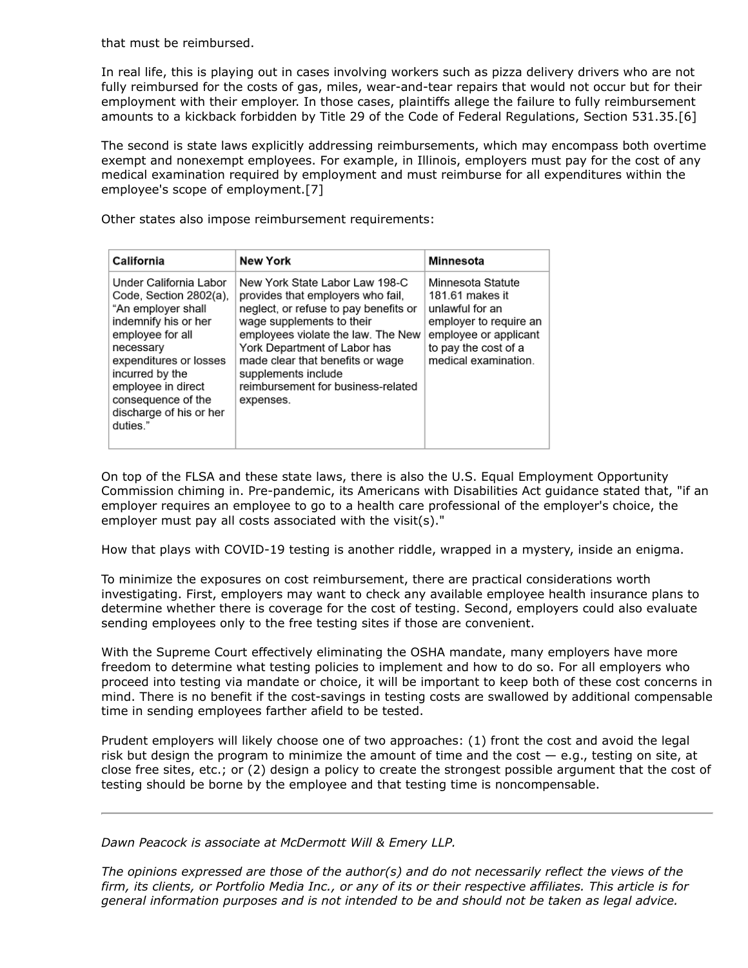that must be reimbursed.

In real life, this is playing out in cases involving workers such as pizza delivery drivers who are not fully reimbursed for the costs of gas, miles, wear-and-tear repairs that would not occur but for their employment with their employer. In those cases, plaintiffs allege the failure to fully reimbursement amounts to a kickback forbidden by Title 29 of the Code of Federal Regulations, Section 531.35.[6]

The second is state laws explicitly addressing reimbursements, which may encompass both overtime exempt and nonexempt employees. For example, in Illinois, employers must pay for the cost of any medical examination required by employment and must reimburse for all expenditures within the employee's scope of employment.[7]

Other states also impose reimbursement requirements:

| California                                                                                                                                                                                                                                                      | <b>New York</b>                                                                                                                                                                                                                                                                                                               | Minnesota                                                                                                                                                  |
|-----------------------------------------------------------------------------------------------------------------------------------------------------------------------------------------------------------------------------------------------------------------|-------------------------------------------------------------------------------------------------------------------------------------------------------------------------------------------------------------------------------------------------------------------------------------------------------------------------------|------------------------------------------------------------------------------------------------------------------------------------------------------------|
| Under California Labor<br>Code, Section 2802(a),<br>"An employer shall<br>indemnify his or her<br>employee for all<br>necessary<br>expenditures or losses<br>incurred by the<br>employee in direct<br>consequence of the<br>discharge of his or her<br>duties." | New York State Labor Law 198-C<br>provides that employers who fail,<br>neglect, or refuse to pay benefits or<br>wage supplements to their<br>employees violate the law. The New<br>York Department of Labor has<br>made clear that benefits or wage<br>supplements include<br>reimbursement for business-related<br>expenses. | Minnesota Statute<br>181.61 makes it<br>unlawful for an<br>employer to require an<br>employee or applicant<br>to pay the cost of a<br>medical examination. |

[On top of the FLSA and these state laws, there is also the U.S. Equal Employment Opportunity](https://www.law360.com/agencies/equal-employment-opportunity-commission) Commission chiming in. Pre-pandemic, its Americans with Disabilities Act guidance stated that, "if an employer requires an employee to go to a health care professional of the employer's choice, the employer must pay all costs associated with the visit(s)."

How that plays with COVID-19 testing is another riddle, wrapped in a mystery, inside an enigma.

To minimize the exposures on cost reimbursement, there are practical considerations worth investigating. First, employers may want to check any available employee health insurance plans to determine whether there is coverage for the cost of testing. Second, employers could also evaluate sending employees only to the free testing sites if those are convenient.

With the Supreme Court effectively eliminating the OSHA mandate, many employers have more freedom to determine what testing policies to implement and how to do so. For all employers who proceed into testing via mandate or choice, it will be important to keep both of these cost concerns in mind. There is no benefit if the cost-savings in testing costs are swallowed by additional compensable time in sending employees farther afield to be tested.

Prudent employers will likely choose one of two approaches: (1) front the cost and avoid the legal risk but design the program to minimize the amount of time and the cost  $-$  e.g., testing on site, at close free sites, etc.; or (2) design a policy to create the strongest possible argument that the cost of testing should be borne by the employee and that testing time is noncompensable.

*[Dawn Peacock](https://www.mwe.com/people/dawn-m-peacock/) is associate at [McDermott Will & Emery LLP.](https://www.law360.com/firms/mcdermott-will)*

*The opinions expressed are those of the author(s) and do not necessarily reflect the views of the firm, its clients, or Portfolio Media Inc., or any of its or their respective affiliates. This article is for general information purposes and is not intended to be and should not be taken as legal advice.*